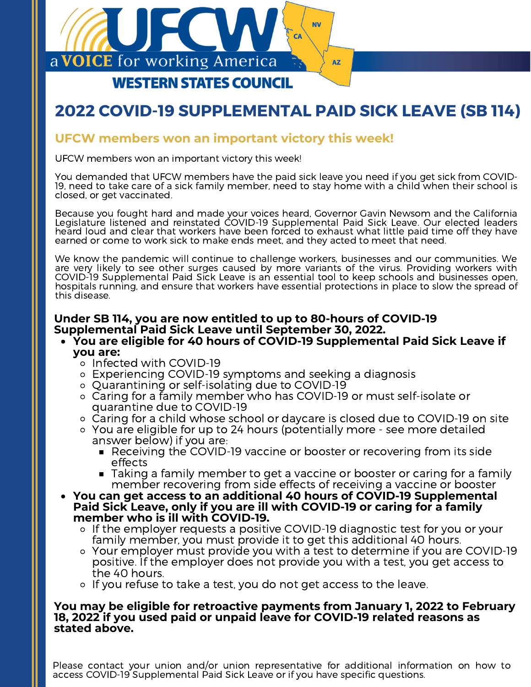

# **2022 COVID-19 SUPPLEMENTAL PAID SICK LEAVE (SB 114)**

## **UFCW members won an important victory this week!**

UFCW members won an important victory this week!

You demanded that UFCW members have the paid sick leave you need if you get sick from COVID-19, need to take care of a sick family member, need to stay home with a child when their school is closed, or get vaccinated.

Because you fought hard and made your voices heard, Governor Gavin Newsom and the California Legislature listened and reinstated COVID-19 Supplemental Paid Sick Leave. Our elected leaders heard loud and clear that workers have been forced to exhaust what little paid time off they have earned or come to work sick to make ends meet, and they acted to meet that need.

We know the pandemic will continue to challenge workers, businesses and our communities. We are very likely to see other surges caused by more variants of the virus. Providing workers with COVID-19 Supplemental Paid Sick Leave is an essential tool to keep schools and businesses open, hospitals running, and ensure that workers have essential protections in place to slow the spread of this disease.

# **Under SB 114, you are now entitled to up to 80-hours of COVID-19 Supplemental Paid Sick Leave until September 30, 2022.**

### **You are eligible for 40 hours of COVID-19 Supplemental Paid Sick Leave if you are:**

- o Infected with COVID-19
- Experiencing COVID-19 symptoms and seeking a diagnosis
- Quarantining or self-isolating due to COVID-19
- Caring for a family member who has COVID-19 or must self-isolate or quarantine due to COVID-19
- Caring for a child whose school or daycare is closed due to COVID-19 on site
- You are eligible for up to 24 hours (potentially more see more detailed answer below) if you are:
	- Receiving the COVID-19 vaccine or booster or recovering from its side effects
	- **Taking a family member to get a vaccine or booster or caring for a family** member recovering from side effects of receiving a vaccine or booster
- **You can get access to an additional 40 hours of COVID-19 Supplemental Paid Sick Leave, only if you are ill with COVID-19 or caring for a family member who is ill with COVID-19.**
	- o If the employer requests a positive COVID-19 diagnostic test for you or your family member, you must provide it to get this additional 40 hours.
	- Your employer must provide you with a test to determine if you are COVID-19 positive. If the employer does not provide you with a test, you get access to the 40 hours.
	- o If you refuse to take a test, you do not get access to the leave.

#### **You may be eligible for retroactive payments from January 1, 2022 to February 18, 2022 if you used paid or unpaid leave for COVID-19 related reasons as stated above.**

Please contact your union and/or union representative for additional information on how to access COVID-19 Supplemental Paid Sick Leave or if you have specific questions.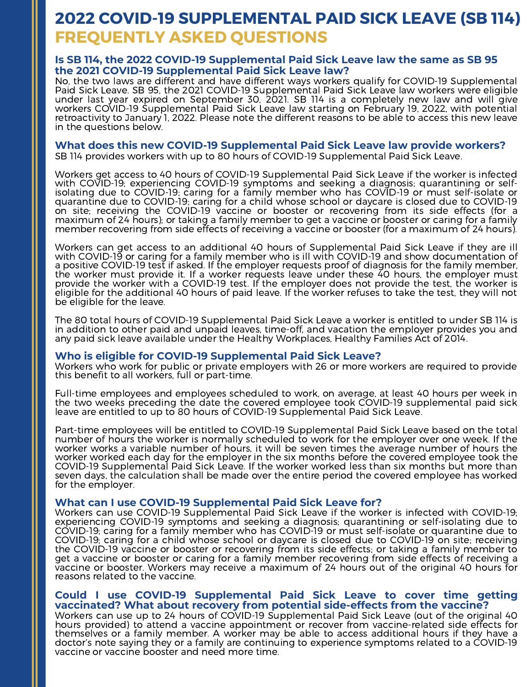# **FREQUENTLY ASKED QUESTIONS 2022 COVID-19 SUPPLEMENTAL PAID SICK LEAVE (SB 114)**

#### **Is SB 114, the 2022 COVID-19 Supplemental Paid Sick Leave law the same as SB 95 the 2021 COVID-19 Supplemental Paid Sick Leave law?**

No, the two laws are different and have different ways workers qualify for COVID-19 Supplemental Paid Sick Leave. SB 95, the 2021 COVID-19 Supplemental Paid Sick Leave law workers were eligible under last year expired on September 30, 2021. SB 114 is a completely new law and will give workers COVID-19 Supplemental Paid Sick Leave law starting on February 19, 2022, with potential retroactivity to January 1, 2022. Please note the different reasons to be able to access this new leave in the questions below.

#### **What does this new COVID-19 Supplemental Paid Sick Leave law provide workers?**

SB 114 provides workers with up to 80 hours of COVID-19 Supplemental Paid Sick Leave.

Workers get access to 40 hours of COVID-19 Supplemental Paid Sick Leave if the worker is infected with COVID-19; experiencing COVID-19 symptoms and seeking a diagnosis; quarantining or selfisolating due to COVID-19; caring for a family member who has COVID-19 or must self-isolate or quarantine due to COVID-19; caring for a child whose school or daycare is closed due to COVID-19 on site; receiving the COVID-19 vaccine or booster or recovering from its side effects (for a maximum of 24 hours); or taking a family member to get a vaccine or booster or caring for a family member recovering from side effects of receiving a vaccine or booster (for a maximum of 24 hours).

Workers can get access to an additional 40 hours of Supplemental Paid Sick Leave if they are ill with COVID-19 or caring for a family member who is ill with COVID-19 and show documentation of a positive COVID-19 test if asked. If the employer requests proof of diagnosis for the family member, the worker must provide it. If a worker requests leave under these 40 hours, the employer must provide the worker with a COVID-19 test. If the employer does not provide the test, the worker is eligible for the additional 40 hours of paid leave. If the worker refuses to take the test, they will not be eligible for the leave.

The 80 total hours of COVID-19 Supplemental Paid Sick Leave a worker is entitled to under SB 114 is in addition to other paid and unpaid leaves, time-off, and vacation the employer provides you and any paid sick leave available under the Healthy Workplaces, Healthy Families Act of 2014.

#### **Who is eligible for COVID-19 Supplemental Paid Sick Leave?**

Workers who work for public or private employers with 26 or more workers are required to provide this benefit to all workers, full or part-time.

Full-time employees and employees scheduled to work, on average, at least 40 hours per week in the two weeks preceding the date the covered employee took COVID-19 supplemental paid sick leave are entitled to up to 80 hours of COVID-19 Supplemental Paid Sick Leave.

Part-time employees will be entitled to COVID-19 Supplemental Paid Sick Leave based on the total number of hours the worker is normally scheduled to work for the employer over one week. If the worker works a variable number of hours, it will be seven times the average number of hours the worker worked each day for the employer in the six months before the covered employee took the COVID-19 Supplemental Paid Sick Leave. If the worker worked less than six months but more than seven days, the calculation shall be made over the entire period the covered employee has worked for the employer.

#### **What can I use COVID-19 Supplemental Paid Sick Leave for?**

Workers can use COVID-19 Supplemental Paid Sick Leave if the worker is infected with COVID-19; experiencing COVID-19 symptoms and seeking a diagnosis; quarantining or self-isolating due to COVID-19; caring for a family member who has COVID-19 or must self-isolate or quarantine due to COVID-19; caring for a child whose school or daycare is closed due to COVID-19 on site; receiving the COVID-19 vaccine or booster or recovering from its side effects; or taking a family member to get a vaccine or booster or caring for a family member recovering from side effects of receiving a vaccine or booster. Workers may receive a maximum of 24 hours out of the original 40 hours for reasons related to the vaccine.

#### **Could I use COVID-19 Supplemental Paid Sick Leave to cover time getting vaccinated? What about recovery from potential side-effects from the vaccine?**

Workers can use up to 24 hours of COVID-19 Supplemental Paid Sick Leave (out of the original 40 hours provided) to attend a vaccine appointment or recover from vaccine-related side effects for themselves or a family member. A worker may be able to access additional hours if they have a doctor's note saying they or a family are continuing to experience symptoms related to a COVID-19 vaccine or vaccine booster and need more time.